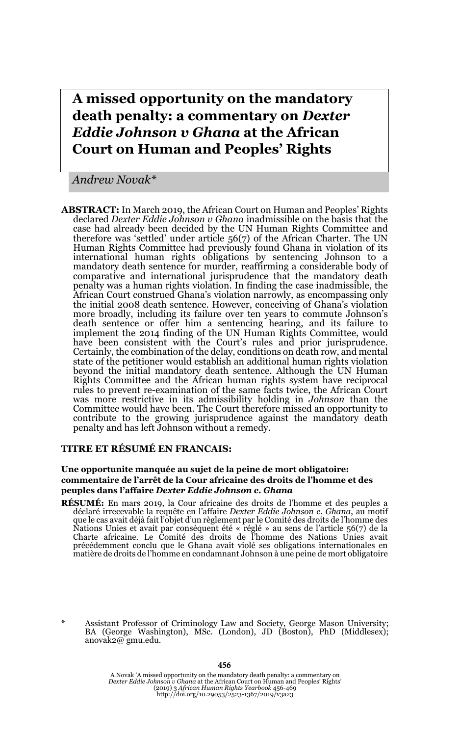# **A missed opportunity on the mandatory death penalty: a commentary on** *Dexter Eddie Johnson v Ghana* **at the African Court on Human and Peoples' Rights**

*Andrew Novak\**

**ABSTRACT:** In March 2019, the African Court on Human and Peoples' Rights declared *Dexter Eddie Johnson v Ghana* inadmissible on the basis that the case had already been decided by the UN Human Rights Committee and therefore was 'settled' under article 56(7) of the African Charter. The UN Human Rights Committee had previously found Ghana in violation of its international human rights obligations by sentencing Johnson to a mandatory death sentence for murder, reaffirming a considerable body of comparative and international jurisprudence that the mandatory death penalty was a human rights violation. In finding the case inadmissible, the African Court construed Ghana's violation narrowly, as encompassing only the initial 2008 death sentence. However, conceiving of Ghana's violation more broadly, including its failure over ten years to commute Johnson's death sentence or offer him a sentencing hearing, and its failure to implement the 2014 finding of the UN Human Rights Committee, would have been consistent with the Court's rules and prior jurisprudence. Certainly, the combination of the delay, conditions on death row, and mental state of the petitioner would establish an additional human rights violation beyond the initial mandatory death sentence. Although the UN Human Rights Committee and the African human rights system have reciprocal rules to prevent re-examination of the same facts twice, the African Court was more restrictive in its admissibility holding in *Johnson* than the Committee would have been. The Court therefore missed an opportunity to contribute to the growing jurisprudence against the mandatory death penalty and has left Johnson without a remedy.

#### **TITRE ET RÉSUMÉ EN FRANCAIS:**

#### **Une opportunite manquée au sujet de la peine de mort obligatoire: commentaire de l'arrêt de la Cour africaine des droits de l'homme et des peuples dans l'affaire** *Dexter Eddie Johnson c. Ghana*

- **RÉSUMÉ:** En mars 2019, la Cour africaine des droits de l'homme et des peuples a déclaré irrecevable la requête en l'affaire *Dexter Eddie Johnson c. Ghana*, au motif que le cas avait déjà fait l'objet d'un règlement par le Comité des droits de l'homme des Nations Unies et avait par conséquent été « réglé » au sens de l'article 56(7) de la Charte africaine. Le Comité des droits de l'homme des Nations Unies avait précédemment conclu que le Ghana avait violé ses obligations internationales en matière de droits de l'homme en condamnant Johnson à une peine de mort obligatoire
- \* Assistant Professor of Criminology Law and Society, George Mason University; BA (George Washington), MSc. (London), JD (Boston), PhD (Middlesex); anovak2@ gmu.edu.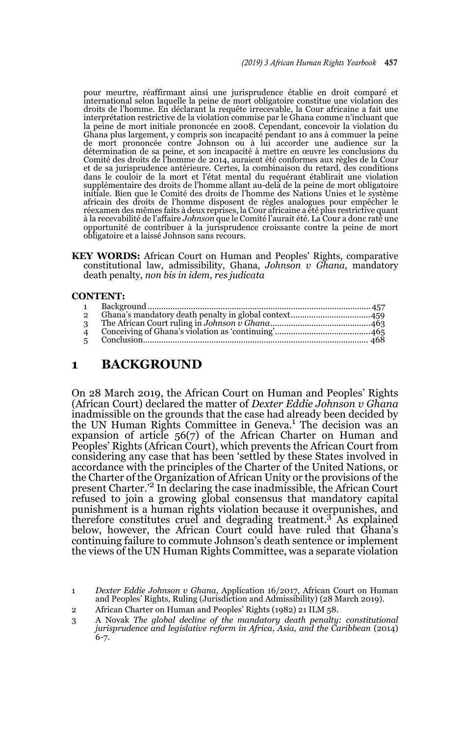pour meurtre, réaffirmant ainsi une jurisprudence établie en droit comparé et international selon laquelle la peine de mort obligatoire constitue une violation des droits de l'homme. En déclarant la requête irrecevable, la Cour africaine a fait une interprétation restrictive de la violation commise par le Ghana comme n'incluant que la peine de mort initiale prononcée en 2008. Cependant, concevoir la violation du Ghana plus largement, y compris son incapacité pendant 10 ans à commuer la peine de mort prononcée contre Johnson ou à lui accorder une audience sur la détermination de sa peine, et son incapacité à mettre en œuvre les conclusions du Comité des droits de l'homme de 2014, auraient été conformes aux règles de la Cour et de sa jurisprudence antérieure. Certes, la combinaison du retard, des conditions dans le couloir de la mort et l'état mental du requérant établirait une violation supplémentaire des droits de l'homme allant au-delà de la peine de mort obligatoire initiale. Bien que le Comité des droits de l'homme des Nations Unies et le système africain des droits de l'homme disposent de règles analogues pour empêcher le réexamen des mêmes faits à deux reprises, la Cour africaine a été plus restrictive quant à la recevabilité de l'affaire *Johnson* que le Comité l'aurait été. La Cour a donc raté une opportunité de contribuer à la jurisprudence croissante contre la peine de mort obligatoire et a laissé Johnson sans recours.

**KEY WORDS:** African Court on Human and Peoples' Rights, comparative constitutional law, admissibility, Ghana, *Johnson v Ghana*, mandatory death penalty, *non bis in idem*, *res judicata*

#### **CONTENT:**

| $\overline{2}$ |  |
|----------------|--|
| $\mathbf{3}$   |  |
| $\overline{4}$ |  |
| $5^{\circ}$    |  |
|                |  |

# **1 BACKGROUND**

On 28 March 2019, the African Court on Human and Peoples' Rights (African Court) declared the matter of *Dexter Eddie Johnson v Ghana* inadmissible on the grounds that the case had already been decided by the UN Human Rights Committee in Geneva.<sup>1</sup> The decision was an expansion of article 56(7) of the African Charter on Human and Peoples' Rights (African Court), which prevents the African Court from considering any case that has been 'settled by these States involved in accordance with the principles of the Charter of the United Nations, or the Charter of the Organization of African Unity or the provisions of the present Charter.'2 In declaring the case inadmissible, the African Court refused to join a growing global consensus that mandatory capital punishment is a human rights violation because it overpunishes, and therefore constitutes cruel and degrading treatment.<sup>3</sup> As explained below, however, the African Court could have ruled that Ghana's continuing failure to commute Johnson's death sentence or implement the views of the UN Human Rights Committee, was a separate violation

<sup>1</sup> *Dexter Eddie Johnson v Ghana*, Application 16/2017, African Court on Human and Peoples' Rights, Ruling (Jurisdiction and Admissibility) (28 March 2019).

<sup>2</sup> African Charter on Human and Peoples' Rights (1982) 21 ILM 58.

<sup>3</sup> A Novak *The global decline of the mandatory death penalty: constitutional jurisprudence and legislative reform in Africa, Asia, and the Caribbean* (2014) 6-7.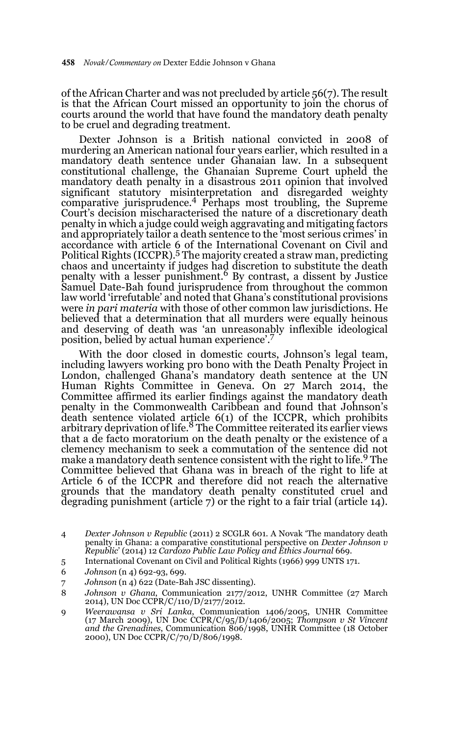of the African Charter and was not precluded by article 56(7). The result is that the African Court missed an opportunity to join the chorus of courts around the world that have found the mandatory death penalty to be cruel and degrading treatment.

Dexter Johnson is a British national convicted in 2008 of murdering an American national four years earlier, which resulted in a mandatory death sentence under Ghanaian law. In a subsequent constitutional challenge, the Ghanaian Supreme Court upheld the mandatory death penalty in a disastrous 2011 opinion that involved significant statutory misinterpretation and disregarded weighty comparative jurisprudence.4 Perhaps most troubling, the Supreme Court's decision mischaracterised the nature of a discretionary death penalty in which a judge could weigh aggravating and mitigating factors and appropriately tailor a death sentence to the 'most serious crimes' in accordance with article 6 of the International Covenant on Civil and<br>Political Rights (ICCPR).<sup>5</sup> The majority created a straw man, predicting chaos and uncertainty if judges had discretion to substitute the death penalty with a lesser punishment.6 By contrast, a dissent by Justice Samuel Date-Bah found jurisprudence from throughout the common law world 'irrefutable' and noted that Ghana's constitutional provisions were *in pari materia* with those of other common law jurisdictions. He believed that a determination that all murders were equally heinous and deserving of death was 'an unreasonably inflexible ideological position, belied by actual human experience'.7

With the door closed in domestic courts, Johnson's legal team, including lawyers working pro bono with the Death Penalty Project in London, challenged Ghana's mandatory death sentence at the UN Human Rights Committee in Geneva. On 27 March 2014, the Committee affirmed its earlier findings against the mandatory death penalty in the Commonwealth Caribbean and found that Johnson's death sentence violated article 6(1) of the ICCPR, which prohibits arbitrary deprivation of life.8 The Committee reiterated its earlier views that a de facto moratorium on the death penalty or the existence of a clemency mechanism to seek a commutation of the sentence did not make a mandatory death sentence consistent with the right to life.9 The Committee believed that Ghana was in breach of the right to life at Article 6 of the ICCPR and therefore did not reach the alternative grounds that the mandatory death penalty constituted cruel and degrading punishment (article 7) or the right to a fair trial (article 14).

- 4 *Dexter Johnson v Republic* (2011) 2 SCGLR 601. A Novak 'The mandatory death penalty in Ghana: a comparative constitutional perspective on *Dexter Johnson v Republic*' (2014) 12 *Cardozo Public Law Policy and Ethics Journal* 669.
- 5 International Covenant on Civil and Political Rights (1966) 999 UNTS 171.
- 6 *Johnson* (n 4) 692-93, 699.
- 7 *Johnson* (n 4) 622 (Date-Bah JSC dissenting).
- 8 *Johnson v Ghana*, Communication 2177/2012, UNHR Committee (27 March 2014), UN Doc CCPR/C/110/D/2177/2012.
- 9 *Weerawansa v Sri Lanka*, Communication 1406/2005, UNHR Committee (17 March 2009), UN Doc CCPR/C/95/D/1406/2005; *Thompson v St Vincent and the Grenadines*, Communication 806/1998, UNHR Committee (18 October 2000), UN Doc CCPR/C/70/D/806/1998.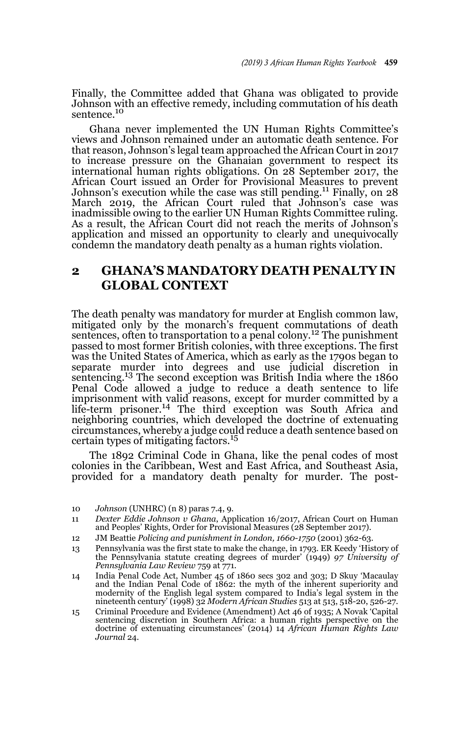Finally, the Committee added that Ghana was obligated to provide Johnson with an effective remedy, including commutation of his death sentence.<sup>10</sup>

Ghana never implemented the UN Human Rights Committee's views and Johnson remained under an automatic death sentence. For that reason, Johnson's legal team approached the African Court in 2017 to increase pressure on the Ghanaian government to respect its international human rights obligations. On 28 September 2017, the African Court issued an Order for Provisional Measures to prevent Johnson's execution while the case was still pending.<sup>11</sup> Finally, on  $28$ March 2019, the African Court ruled that Johnson's case was inadmissible owing to the earlier UN Human Rights Committee ruling. As a result, the African Court did not reach the merits of Johnson's application and missed an opportunity to clearly and unequivocally condemn the mandatory death penalty as a human rights violation.

### **2 GHANA'S MANDATORY DEATH PENALTY IN GLOBAL CONTEXT**

The death penalty was mandatory for murder at English common law, mitigated only by the monarch's frequent commutations of death sentences, often to transportation to a penal colony.<sup>12</sup> The punishment passed to most former British colonies, with three exceptions. The first was the United States of America, which as early as the 1790s began to separate murder into degrees and use judicial discretion in sentencing.13 The second exception was British India where the 1860 Penal Code allowed a judge to reduce a death sentence to life imprisonment with valid reasons, except for murder committed by a life-term prisoner.14 The third exception was South Africa and neighboring countries, which developed the doctrine of extenuating circumstances, whereby a judge could reduce a death sentence based on certain types of mitigating factors.<sup>15</sup>

The 1892 Criminal Code in Ghana, like the penal codes of most colonies in the Caribbean, West and East Africa, and Southeast Asia, provided for a mandatory death penalty for murder. The post-

<sup>10</sup> *Johnson* (UNHRC) (n 8) paras 7.4, 9.

<sup>11</sup> *Dexter Eddie Johnson v Ghana*, Application 16/2017, African Court on Human and Peoples' Rights, Order for Provisional Measures (28 September 2017).

<sup>12</sup> JM Beattie *Policing and punishment in London, 1660-1750* (2001) 362-63.

<sup>13</sup> Pennsylvania was the first state to make the change, in 1793. ER Keedy 'History of the Pennsylvania statute creating degrees of murder' (1949) *97 University of Pennsylvania Law Review* 759 at 771.

<sup>14</sup> India Penal Code Act, Number 45 of 1860 secs 302 and 303; D Skuy 'Macaulay and the Indian Penal Code of 1862: the myth of the inherent superiority and modernity of the English legal system compared to India's legal system in the nineteenth century' (1998) 32 *Modern African Studies* 513 at 513, 518-20, 526-27.

<sup>15</sup> Criminal Procedure and Evidence (Amendment) Act 46 of 1935; A Novak 'Capital sentencing discretion in Southern Africa: a human rights perspective on the doctrine of extenuating circumstances' (2014) 14 *African Human Rights Law Journal* 24.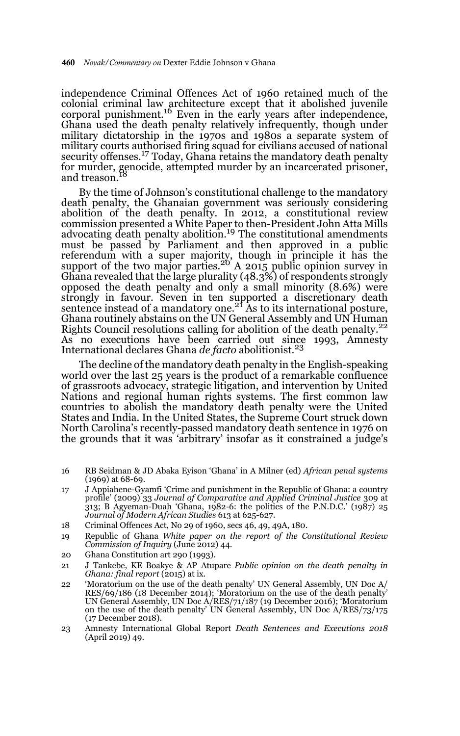independence Criminal Offences Act of 1960 retained much of the colonial criminal law architecture except that it abolished juvenile corporal punishment.16 Even in the early years after independence, Ghana used the death penalty relatively infrequently, though under military dictatorship in the 1970s and 1980s a separate system of military courts authorised firing squad for civilians accused of national security offenses.<sup>17</sup> Today, Ghana retains the mandatory death penalty for murder, genocide, attempted murder by an incarcerated prisoner, and treason.

By the time of Johnson's constitutional challenge to the mandatory death penalty, the Ghanaian government was seriously considering abolition of the death penalty. In 2012, a constitutional review commission presented a White Paper to then-President John Atta Mills advocating death penalty abolition.<sup>19</sup> The constitutional amendments must be passed by Parliament and then approved in a public referendum with a super majority, though in principle it has the support of the two major parties.<sup>20</sup> A 2015 public opinion survey in Ghana revealed that the large plurality (48.3%) of respondents strongly opposed the death penalty and only a small minority (8.6%) were strongly in favour. Seven in ten supported a discretionary death<br>sentence instead of a mandatory one.<sup>21</sup> As to its international posture, Ghana routinely abstains on the UN General Assembly and UN Human Rights Council resolutions calling for abolition of the death penalty.<sup>22</sup> As no executions have been carried out since 1993, Amnesty International declares Ghana *de facto* abolitionist.<sup>23</sup>

The decline of the mandatory death penalty in the English-speaking world over the last 25 years is the product of a remarkable confluence of grassroots advocacy, strategic litigation, and intervention by United Nations and regional human rights systems. The first common law countries to abolish the mandatory death penalty were the United States and India. In the United States, the Supreme Court struck down North Carolina's recently-passed mandatory death sentence in 1976 on the grounds that it was 'arbitrary' insofar as it constrained a judge's

- 16 RB Seidman & JD Abaka Eyison 'Ghana' in A Milner (ed) *African penal systems* (1969) at 68-69.
- 17 J Appiahene-Gyamfi 'Crime and punishment in the Republic of Ghana: a country profile' (2009) 33 *Journal of Comparative and Applied Criminal Justice* 309 at 313; B Agyeman-Duah 'Ghana, 1982-6: the politics of the P.N.D.C.'  $(1987)$  25 *Journal of Modern African Studies* 613 at 625-627.
- 18 Criminal Offences Act, No 29 of 1960, secs 46, 49, 49A, 180.
- 19 Republic of Ghana *White paper on the report of the Constitutional Review Commission of Inquiry* (June 2012) 44.
- 20 Ghana Constitution art 290 (1993).
- 21 J Tankebe, KE Boakye & AP Atupare *Public opinion on the death penalty in Ghana: final report* (2015) at ix.
- 22 'Moratorium on the use of the death penalty' UN General Assembly, UN Doc A/ RES/69/186 (18 December 2014); 'Moratorium on the use of the death penalty' UN General Assembly, UN Doc A/RES/71/187 (19 December 2016); 'Moratorium on the use of the death penalty' UN General Assembly, UN Doc A/RES/73/175 (17 December 2018).
- 23 Amnesty International Global Report *Death Sentences and Executions 2018* (April 2019) 49.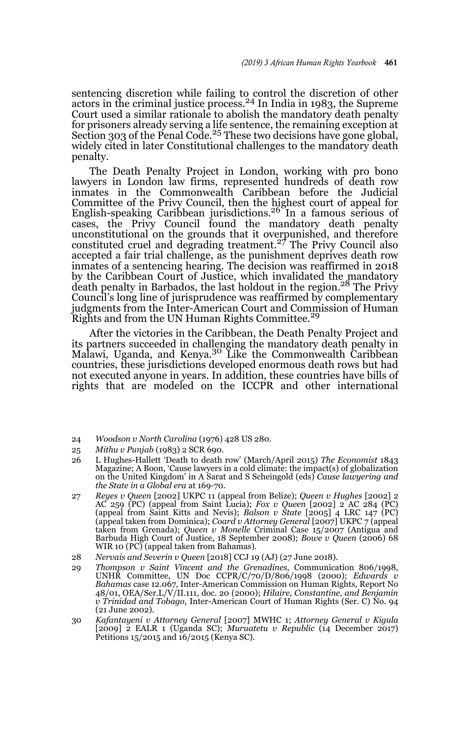sentencing discretion while failing to control the discretion of other<br>actors in the criminal justice process.<sup>24</sup> In India in 1983, the Supreme Court used a similar rationale to abolish the mandatory death penalty for prisoners already serving a life sentence, the remaining exception at Section 303 of the Penal Code.<sup>25</sup> These two decisions have gone global, widely cited in later Constitutional challenges to the mandatory death penalty.

The Death Penalty Project in London, working with pro bono lawyers in London law firms, represented hundreds of death row inmates in the Commonwealth Caribbean before the Judicial Committee of the Privy Council, then the highest court of appeal for English-speaking Caribbean jurisdictions.26 In a famous serious of cases, the Privy Council found the mandatory death penalty unconstitutional on the grounds that it overpunished, and therefore constituted cruel and degrading treatment.27 The Privy Council also accepted a fair trial challenge, as the punishment deprives death row inmates of a sentencing hearing. The decision was reaffirmed in 2018 by the Caribbean Court of Justice, which invalidated the mandatory death penalty in Barbados, the last holdout in the region.<sup>28</sup> The Privy Council's long line of jurisprudence was reaffirmed by complementary judgments from the Inter-American Court and Commission of Human Rights and from the UN Human Rights Committee.<sup>29</sup>

After the victories in the Caribbean, the Death Penalty Project and its partners succeeded in challenging the mandatory death penalty in<br>Malawi, Uganda, and Kenya.<sup>30</sup> Like the Commonwealth Caribbean countries, these jurisdictions developed enormous death rows but had not executed anyone in years. In addition, these countries have bills of rights that are modeled on the ICCPR and other international

- 24 *Woodson v North Carolina* (1976) 428 US 280.
- 25 *Mithu v Punjab* (1983) 2 SCR 690.
- 26 L Hughes-Hallett 'Death to death row' (March/April 2015) *The Economist* 1843 Magazine; A Boon, 'Cause lawyers in a cold climate: the impact(s) of globalization on the United Kingdom' in A Sarat and S Scheingold (eds) *Cause lawyering and the State in a Global era* at 169-70.
- 27 *Reyes v Queen* [2002] UKPC 11 (appeal from Belize); *Queen v Hughes* [2002] 2 AC 259 (PC) (appeal from Saint Lucia); *Fox v Queen* [2002] 2 AC 284 (PC) (appeal from Saint Kitts and Nevis); *Balson v State* [2005] 4 LRC 147 (PC) (appeal taken from Dominica); *Coard v Attorney General* [2007] UKPC 7 (appeal taken from Grenada); *Queen v Monelle* Criminal Case 15/2007 (Antigua and Barbuda High Court of Justice, 18 September 2008); *Bowe v Queen* (2006) 68 WIR 10 (PC) (appeal taken from Bahamas).
- 28 *Nervais and Severin v Queen* [2018] CCJ 19 (AJ) (27 June 2018).
- 29 *Thompson v Saint Vincent and the Grenadines*, Communication 806/1998, UNHR Committee, UN Doc CCPR/C/70/D/806/1998 (2000); *Edwards v Bahamas* case 12.067, Inter-American Commission on Human Rights, Report No 48/01, OEA/Ser.L/V/II.111, doc. 20 (2000); *Hilaire, Constantine, and Benjamin v Trinidad and Tobago*, Inter-American Court of Human Rights (Ser. C) No. 94 (21 June 2002).
- 30 *Kafantayeni v Attorney General* [2007] MWHC 1; *Attorney General v Kigula* [2009] 2 EALR 1 (Uganda SC); *Muruatetu v Republic* (14 December 2017) Petitions 15/2015 and 16/2015 (Kenya SC).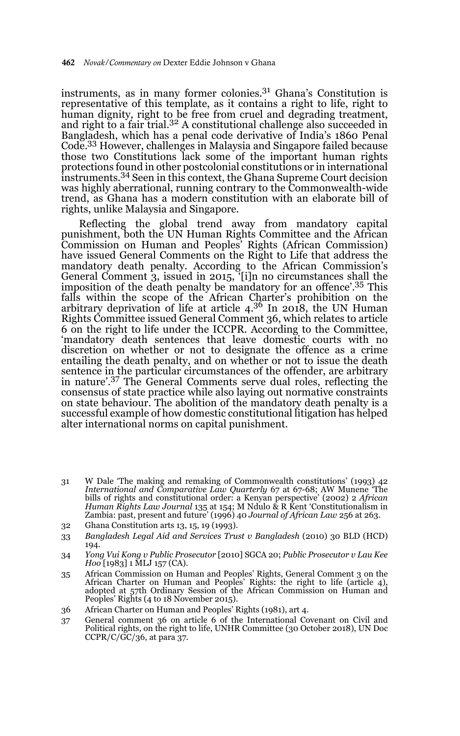instruments, as in many former colonies.31 Ghana's Constitution is representative of this template, as it contains a right to life, right to human dignity, right to be free from cruel and degrading treatment, and right to a fair trial.<sup>32</sup> A constitutional challenge also succeeded in Bangladesh, which has a penal code derivative of India's 1860 Penal Code.33 However, challenges in Malaysia and Singapore failed because those two Constitutions lack some of the important human rights protections found in other postcolonial constitutions or in international instruments.34 Seen in this context, the Ghana Supreme Court decision was highly aberrational, running contrary to the Commonwealth-wide trend, as Ghana has a modern constitution with an elaborate bill of rights, unlike Malaysia and Singapore.

Reflecting the global trend away from mandatory capital punishment, both the UN Human Rights Committee and the African Commission on Human and Peoples' Rights (African Commission) have issued General Comments on the Right to Life that address the mandatory death penalty. According to the African Commission's General Comment 3, issued in 2015, '[i]n no circumstances shall the imposition of the death penalty be mandatory for an offence'.35 This falls within the scope of the African Charter's prohibition on the arbitrary deprivation of life at article 4.<sup>36</sup> In 2018, the UN Human Rights Committee issued General Comment 36, which relates to article 6 on the right to life under the ICCPR. According to the Committee, 'mandatory death sentences that leave domestic courts with no discretion on whether or not to designate the offence as a crime entailing the death penalty, and on whether or not to issue the death sentence in the particular circumstances of the offender, are arbitrary in nature'.37 The General Comments serve dual roles, reflecting the consensus of state practice while also laying out normative constraints on state behaviour. The abolition of the mandatory death penalty is a successful example of how domestic constitutional litigation has helped alter international norms on capital punishment.

- 31 W Dale 'The making and remaking of Commonwealth constitutions' (1993) 42 *International and Comparative Law Quarterly* 67 at 67-68; AW Munene 'The bills of rights and constitutional order: a Kenyan perspective' (2002) 2 *African Human Rights Law Journal* 135 at 154; M Ndulo & R Kent 'Constitutionalism in Zambia: past, present and future' (1996) 40 *Journal of African Law* 256 at 263.
- 32 Ghana Constitution arts 13, 15, 19 (1993).
- 33 *Bangladesh Legal Aid and Services Trust v Bangladesh* (2010) 30 BLD (HCD) 194.
- 34 *Yong Vui Kong v Public Prosecutor* [2010] SGCA 20; *Public Prosecutor v Lau Kee Hoo* [1983] 1 MLJ 157 (CA).
- 35 African Commission on Human and Peoples' Rights, General Comment 3 on the African Charter on Human and Peoples' Rights: the right to life (article 4), adopted at 57th Ordinary Session of the African Commission on Human and Peoples' Rights (4 to 18 November 2015).
- 36 African Charter on Human and Peoples' Rights (1981), art 4.
- 37 General comment 36 on article 6 of the International Covenant on Civil and Political rights, on the right to life, UNHR Committee (30 October 2018), UN Doc  $CCPR/C/GC/36$ , at para 37.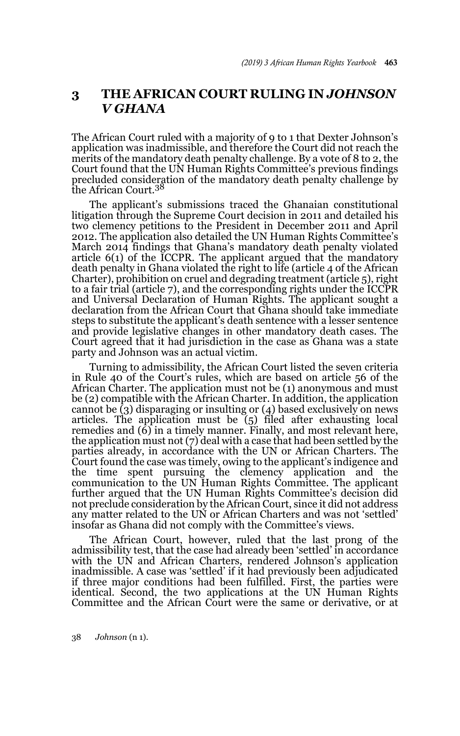# **3 THE AFRICAN COURT RULING IN** *JOHNSON V GHANA*

The African Court ruled with a majority of 9 to 1 that Dexter Johnson's application was inadmissible, and therefore the Court did not reach the merits of the mandatory death penalty challenge. By a vote of 8 to 2, the Court found that the UN Human Rights Committee's previous findings precluded consideration of the mandatory death penalty challenge by the African Court.<sup>38</sup>

The applicant's submissions traced the Ghanaian constitutional litigation through the Supreme Court decision in 2011 and detailed his two clemency petitions to the President in December 2011 and April 2012. The application also detailed the UN Human Rights Committee's March 2014 findings that Ghana's mandatory death penalty violated article 6(1) of the ICCPR. The applicant argued that the mandatory death penalty in Ghana violated the right to life (article 4 of the African Charter), prohibition on cruel and degrading treatment (article 5), right to a fair trial (article 7), and the corresponding rights under the ICCPR and Universal Declaration of Human Rights. The applicant sought a declaration from the African Court that Ghana should take immediate steps to substitute the applicant's death sentence with a lesser sentence and provide legislative changes in other mandatory death cases. The Court agreed that it had jurisdiction in the case as Ghana was a state party and Johnson was an actual victim.

Turning to admissibility, the African Court listed the seven criteria in Rule 40 of the Court's rules, which are based on article 56 of the African Charter. The application must not be (1) anonymous and must be (2) compatible with the African Charter. In addition, the application cannot be (3) disparaging or insulting or (4) based exclusively on news articles. The application must be (5) filed after exhausting local remedies and  $\left(\widehat{6}\right)$  in a timely manner. Finally, and most relevant here, the application must not (7) deal with a case that had been settled by the parties already, in accordance with the UN or African Charters. The Court found the case was timely, owing to the applicant's indigence and the time spent pursuing the clemency application and the communication to the UN Human Rights Committee. The applicant further argued that the UN Human Rights Committee's decision did not preclude consideration by the African Court, since it did not address any matter related to the UN or African Charters and was not 'settled' insofar as Ghana did not comply with the Committee's views.

The African Court, however, ruled that the last prong of the admissibility test, that the case had already been 'settled' in accordance with the UN and African Charters, rendered Johnson's application inadmissible. A case was 'settled' if it had previously been adjudicated if three major conditions had been fulfilled. First, the parties were identical. Second, the two applications at the UN Human Rights Committee and the African Court were the same or derivative, or at

38 *Johnson* (n 1).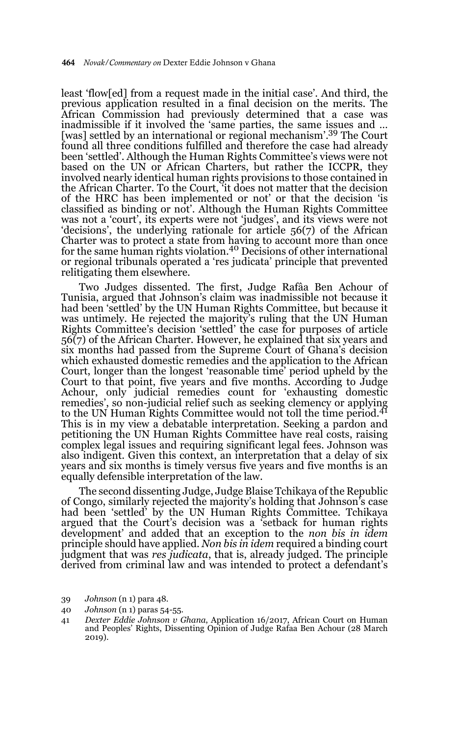least 'flow[ed] from a request made in the initial case'. And third, the previous application resulted in a final decision on the merits. The African Commission had previously determined that a case was inadmissible if it involved the 'same parties, the same issues and … [was] settled by an international or regional mechanism'.<sup>39</sup> The Court found all three conditions fulfilled and therefore the case had already been 'settled'. Although the Human Rights Committee's views were not based on the UN or African Charters, but rather the ICCPR, they involved nearly identical human rights provisions to those contained in the African Charter. To the Court, 'it does not matter that the decision of the HRC has been implemented or not' or that the decision 'is classified as binding or not'. Although the Human Rights Committee was not a 'court', its experts were not 'judges', and its views were not 'decisions', the underlying rationale for article 56(7) of the African Charter was to protect a state from having to account more than once for the same human rights violation.40 Decisions of other international or regional tribunals operated a 'res judicata' principle that prevented relitigating them elsewhere.

Two Judges dissented. The first, Judge Rafâa Ben Achour of Tunisia, argued that Johnson's claim was inadmissible not because it had been 'settled' by the UN Human Rights Committee, but because it was untimely. He rejected the majority's ruling that the UN Human Rights Committee's decision 'settled' the case for purposes of article 56(7) of the African Charter. However, he explained that six years and six months had passed from the Supreme Court of Ghana's decision which exhausted domestic remedies and the application to the African Court, longer than the longest 'reasonable time' period upheld by the Court to that point, five years and five months. According to Judge Achour, only judicial remedies count for 'exhausting domestic remedies', so non-judicial relief such as seeking clemency or applying to the UN Human Rights Committee would not toll the time period.<sup>41</sup> This is in my view a debatable interpretation. Seeking a pardon and petitioning the UN Human Rights Committee have real costs, raising complex legal issues and requiring significant legal fees. Johnson was also indigent. Given this context, an interpretation that a delay of six years and six months is timely versus five years and five months is an equally defensible interpretation of the law.

The second dissenting Judge, Judge Blaise Tchikaya of the Republic of Congo, similarly rejected the majority's holding that Johnson's case had been 'settled' by the UN Human Rights Committee. Tchikaya argued that the Court's decision was a 'setback for human rights development' and added that an exception to the *non bis in idem* principle should have applied. *Non bis in idem* required a binding court judgment that was *res judicata*, that is, already judged. The principle derived from criminal law and was intended to protect a defendant's

<sup>39</sup> *Johnson* (n 1) para 48.

<sup>40</sup> *Johnson* (n 1) paras 54-55.

<sup>41</sup> *Dexter Eddie Johnson v Ghana*, Application 16/2017, African Court on Human and Peoples' Rights, Dissenting Opinion of Judge Rafaa Ben Achour (28 March 2019).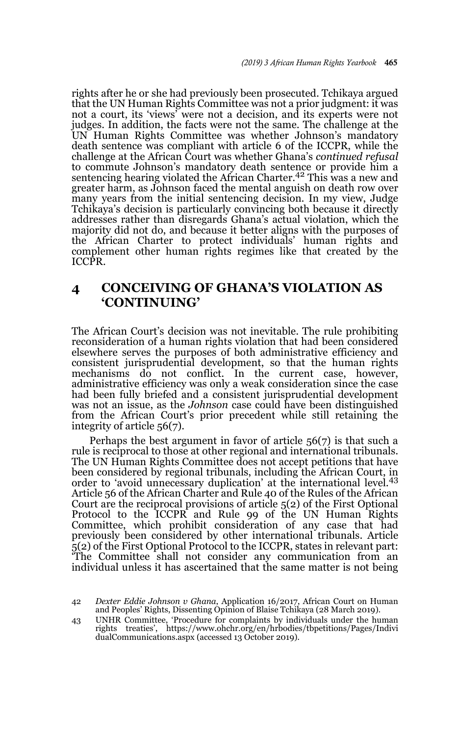rights after he or she had previously been prosecuted. Tchikaya argued that the UN Human Rights Committee was not a prior judgment: it was not a court, its 'views' were not a decision, and its experts were not judges. In addition, the facts were not the same. The challenge at the UN Human Rights Committee was whether Johnson's mandatory death sentence was compliant with article 6 of the ICCPR, while the challenge at the African Court was whether Ghana's *continued refusal* to commute Johnson's mandatory death sentence or provide him a sentencing hearing violated the African Charter.<sup>42</sup> This was a new and greater harm, as Johnson faced the mental anguish on death row over many years from the initial sentencing decision. In my view, Judge Tchikaya's decision is particularly convincing both because it directly addresses rather than disregards Ghana's actual violation, which the majority did not do, and because it better aligns with the purposes of the African Charter to protect individuals' human rights and complement other human rights regimes like that created by the ICCPR.

### **4 CONCEIVING OF GHANA'S VIOLATION AS 'CONTINUING'**

The African Court's decision was not inevitable. The rule prohibiting reconsideration of a human rights violation that had been considered elsewhere serves the purposes of both administrative efficiency and consistent jurisprudential development, so that the human rights mechanisms do not conflict. In the current case, however, administrative efficiency was only a weak consideration since the case had been fully briefed and a consistent jurisprudential development was not an issue, as the *Johnson* case could have been distinguished from the African Court's prior precedent while still retaining the integrity of article 56(7).

Perhaps the best argument in favor of article 56(7) is that such a rule is reciprocal to those at other regional and international tribunals. The UN Human Rights Committee does not accept petitions that have been considered by regional tribunals, including the African Court, in order to 'avoid unnecessary duplication' at the international level.<sup>43</sup> Article 56 of the African Charter and Rule 40 of the Rules of the African Court are the reciprocal provisions of article 5(2) of the First Optional Protocol to the ICCPR and Rule 99 of the UN Human Rights Committee, which prohibit consideration of any case that had previously been considered by other international tribunals. Article 5(2) of the First Optional Protocol to the ICCPR, states in relevant part: 'The Committee shall not consider any communication from an individual unless it has ascertained that the same matter is not being

<sup>42</sup> *Dexter Eddie Johnson v Ghana*, Application 16/2017, African Court on Human and Peoples' Rights, Dissenting Opinion of Blaise Tchikaya (28 March 2019).

<sup>43</sup> UNHR Committee, 'Procedure for complaints by individuals under the human rights treaties', https://www.ohchr.org/en/hrbodies/tbpetitions/Pages/Indivi dualCommunications.aspx (accessed 13 October 2019).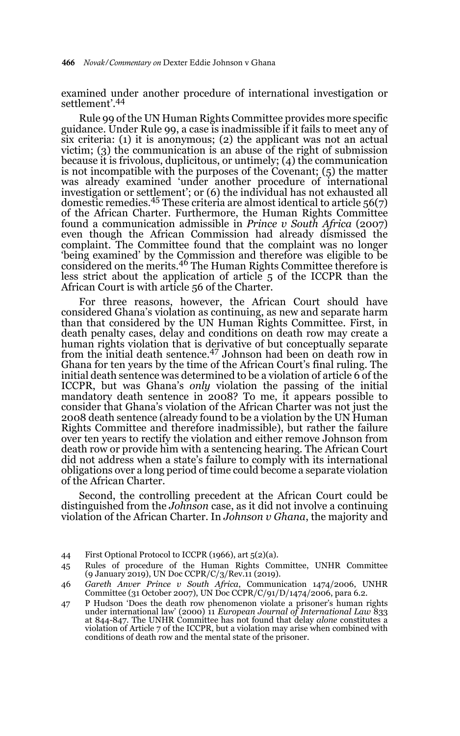examined under another procedure of international investigation or settlement'.44

Rule 99 of the UN Human Rights Committee provides more specific guidance. Under Rule 99, a case is inadmissible if it fails to meet any of six criteria: (1) it is anonymous; (2) the applicant was not an actual victim; (3) the communication is an abuse of the right of submission because it is frivolous, duplicitous, or untimely; (4) the communication is not incompatible with the purposes of the Covenant; (5) the matter was already examined 'under another procedure of international investigation or settlement'; or (6) the individual has not exhausted all domestic remedies.45 These criteria are almost identical to article 56(7) of the African Charter. Furthermore, the Human Rights Committee found a communication admissible in *Prince v South Africa* (2007) even though the African Commission had already dismissed the complaint. The Committee found that the complaint was no longer 'being examined' by the Commission and therefore was eligible to be considered on the merits.46 The Human Rights Committee therefore is less strict about the application of article 5 of the ICCPR than the African Court is with article 56 of the Charter.

For three reasons, however, the African Court should have considered Ghana's violation as continuing, as new and separate harm than that considered by the UN Human Rights Committee. First, in death penalty cases, delay and conditions on death row may create a human rights violation that is derivative of but conceptually separate from the initial death sentence.47 Johnson had been on death row in Ghana for ten years by the time of the African Court's final ruling. The initial death sentence was determined to be a violation of article 6 of the ICCPR, but was Ghana's *only* violation the passing of the initial mandatory death sentence in 2008? To me, it appears possible to consider that Ghana's violation of the African Charter was not just the 2008 death sentence (already found to be a violation by the UN Human Rights Committee and therefore inadmissible), but rather the failure over ten years to rectify the violation and either remove Johnson from death row or provide him with a sentencing hearing. The African Court did not address when a state's failure to comply with its international obligations over a long period of time could become a separate violation of the African Charter.

Second, the controlling precedent at the African Court could be distinguished from the *Johnson* case, as it did not involve a continuing violation of the African Charter. In *Johnson v Ghana*, the majority and

<sup>44</sup> First Optional Protocol to ICCPR (1966), art 5(2)(a).

<sup>45</sup> Rules of procedure of the Human Rights Committee, UNHR Committee (9 January 2019), UN Doc CCPR/C/3/Rev.11 (2019).

<sup>46</sup> *Gareth Anver Prince v South Africa*, Communication 1474/2006, UNHR Committee (31 October 2007), UN Doc CCPR/C/91/D/1474/2006, para 6.2.

<sup>47</sup> P Hudson 'Does the death row phenomenon violate a prisoner's human rights under international law' (2000) 11 *European Journal of International Law* 833 at 844-847. The UNHR Committee has not found that delay *alone* constitutes a violation of Article 7 of the ICCPR, but a violation may arise when combined with conditions of death row and the mental state of the prisoner.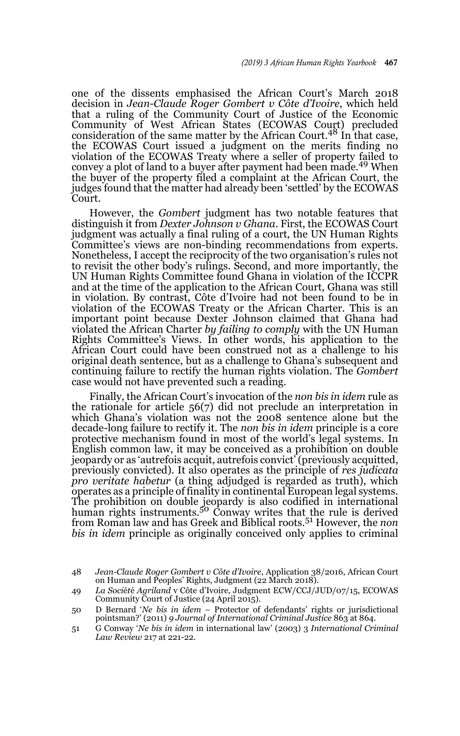one of the dissents emphasised the African Court's March 2018 decision in *Jean-Claude Roger Gombert v Côte d'Ivoire*, which held that a ruling of the Community Court of Justice of the Economic Community of West African States (ECOWAS Court) precluded consideration of the same matter by the African Court.48 In that case, the ECOWAS Court issued a judgment on the merits finding no violation of the ECOWAS Treaty where a seller of property failed to convey a plot of land to a buyer after payment had been made.<sup>49</sup> When the buyer of the property filed a complaint at the African Court, the judges found that the matter had already been 'settled' by the ECOWAS Court.

However, the *Gombert* judgment has two notable features that distinguish it from *Dexter Johnson v Ghana*. First, the ECOWAS Court judgment was actually a final ruling of a court, the UN Human Rights Committee's views are non-binding recommendations from experts. Nonetheless, I accept the reciprocity of the two organisation's rules not to revisit the other body's rulings. Second, and more importantly, the UN Human Rights Committee found Ghana in violation of the ICCPR and at the time of the application to the African Court, Ghana was still in violation. By contrast, Côte d'Ivoire had not been found to be in violation of the ECOWAS Treaty or the African Charter. This is an important point because Dexter Johnson claimed that Ghana had violated the African Charter *by failing to comply* with the UN Human Rights Committee's Views. In other words, his application to the African Court could have been construed not as a challenge to his original death sentence, but as a challenge to Ghana's subsequent and continuing failure to rectify the human rights violation. The *Gombert* case would not have prevented such a reading.

Finally, the African Court's invocation of the *non bis in idem* rule as the rationale for article 56(7) did not preclude an interpretation in which Ghana's violation was not the 2008 sentence alone but the decade-long failure to rectify it. The *non bis in idem* principle is a core protective mechanism found in most of the world's legal systems. In English common law, it may be conceived as a prohibition on double jeopardy or as 'autrefois acquit, autrefois convict' (previously acquitted, previously convicted). It also operates as the principle of *res judicata pro veritate habetur* (a thing adjudged is regarded as truth), which operates as a principle of finality in continental European legal systems. The prohibition on double jeopardy is also codified in international human rights instruments.<sup>50</sup> Conway writes that the rule is derived from Roman law and has Greek and Biblical roots.51 However, the *non bis in idem* principle as originally conceived only applies to criminal

<sup>48</sup> *Jean-Claude Roger Gombert v Côte d'Ivoire*, Application 38/2016, African Court on Human and Peoples' Rights, Judgment (22 March 2018).

<sup>49</sup> *La Soci*é*t*é *Agriland* v Côte d'Ivoire, Judgment ECW/CCJ/JUD/07/15, ECOWAS Community Court of Justice (24 April 2015).

<sup>50</sup> D Bernard '*Ne bis in idem* – Protector of defendants' rights or jurisdictional pointsman?' (2011) *9 Journal of International Criminal Justice* 863 at 864.

<sup>51</sup> G Conway '*Ne bis in idem* in international law' (2003) 3 *International Criminal Law Review* 217 at 221-22.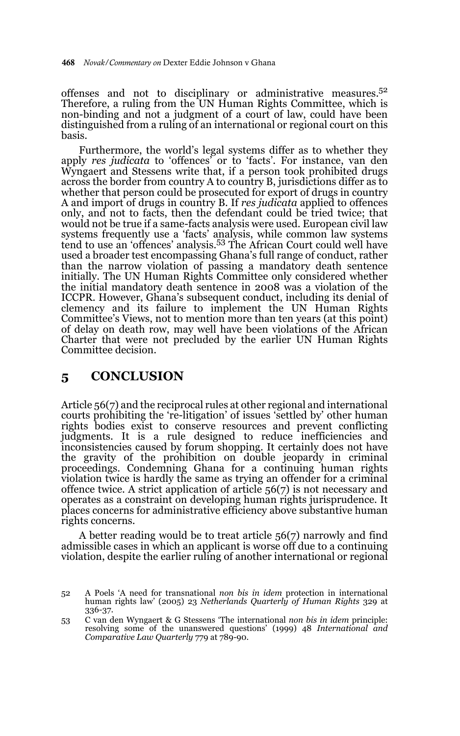offenses and not to disciplinary or administrative measures.<sup>52</sup> Therefore, a ruling from the UN Human Rights Committee, which is non-binding and not a judgment of a court of law, could have been distinguished from a ruling of an international or regional court on this basis.

Furthermore, the world's legal systems differ as to whether they apply *res judicata* to 'offences' or to 'facts'. For instance, van den Wyngaert and Stessens write that, if a person took prohibited drugs across the border from country A to country B, jurisdictions differ as to whether that person could be prosecuted for export of drugs in country A and import of drugs in country B. If *res judicata* applied to offences only, and not to facts, then the defendant could be tried twice; that would not be true if a same-facts analysis were used. European civil law systems frequently use a 'facts' analysis, while common law systems tend to use an 'offences' analysis.53 The African Court could well have used a broader test encompassing Ghana's full range of conduct, rather than the narrow violation of passing a mandatory death sentence initially. The UN Human Rights Committee only considered whether the initial mandatory death sentence in 2008 was a violation of the ICCPR. However, Ghana's subsequent conduct, including its denial of clemency and its failure to implement the UN Human Rights Committee's Views, not to mention more than ten years (at this point) of delay on death row, may well have been violations of the African Charter that were not precluded by the earlier UN Human Rights Committee decision.

### **5 CONCLUSION**

Article 56(7) and the reciprocal rules at other regional and international courts prohibiting the 're-litigation' of issues 'settled by' other human rights bodies exist to conserve resources and prevent conflicting judgments. It is a rule designed to reduce inefficiencies and inconsistencies caused by forum shopping. It certainly does not have the gravity of the prohibition on double jeopardy in criminal proceedings. Condemning Ghana for a continuing human rights violation twice is hardly the same as trying an offender for a criminal offence twice. A strict application of article 56(7) is not necessary and operates as a constraint on developing human rights jurisprudence. It places concerns for administrative efficiency above substantive human rights concerns.

A better reading would be to treat article 56(7) narrowly and find admissible cases in which an applicant is worse off due to a continuing violation, despite the earlier ruling of another international or regional

<sup>52</sup> A Poels 'A need for transnational *non bis in idem* protection in international human rights law' (2005) 23 *Netherlands Quarterly of Human Rights* 329 at 336-37.

<sup>53</sup> C van den Wyngaert & G Stessens 'The international *non bis in idem* principle: resolving some of the unanswered questions' (1999) 48 *International and Comparative Law Quarterly* 779 at 789-90.